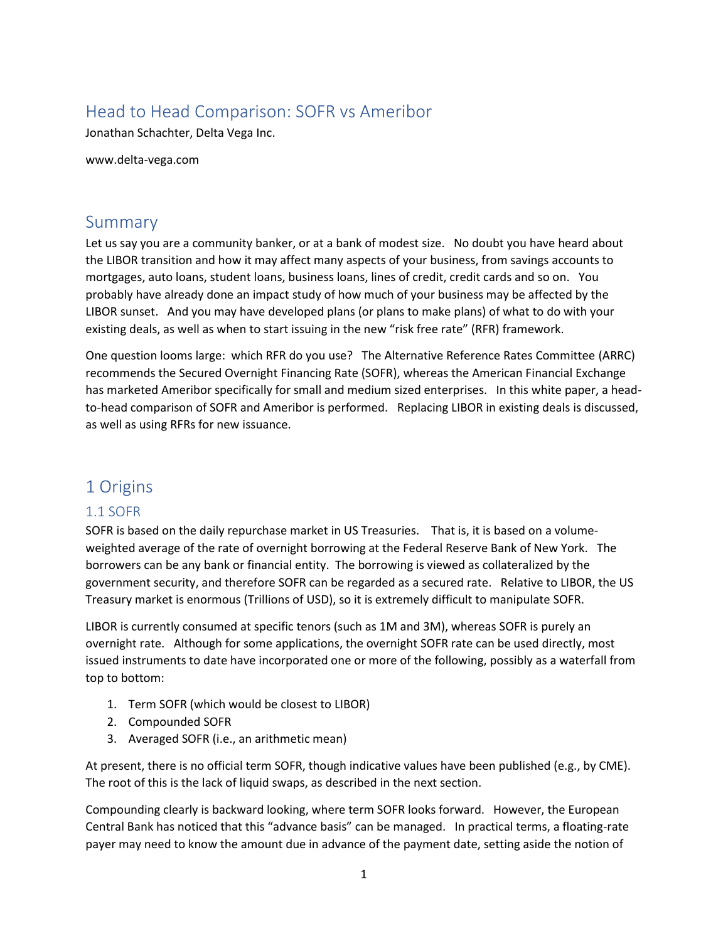# Head to Head Comparison: SOFR vs Ameribor

Jonathan Schachter, Delta Vega Inc.

www.delta-vega.com

#### **Summary**

Let us say you are a community banker, or at a bank of modest size. No doubt you have heard about the LIBOR transition and how it may affect many aspects of your business, from savings accounts to mortgages, auto loans, student loans, business loans, lines of credit, credit cards and so on. You probably have already done an impact study of how much of your business may be affected by the LIBOR sunset. And you may have developed plans (or plans to make plans) of what to do with your existing deals, as well as when to start issuing in the new "risk free rate" (RFR) framework.

One question looms large: which RFR do you use? The Alternative Reference Rates Committee (ARRC) recommends the Secured Overnight Financing Rate (SOFR), whereas the American Financial Exchange has marketed Ameribor specifically for small and medium sized enterprises. In this white paper, a headto-head comparison of SOFR and Ameribor is performed. Replacing LIBOR in existing deals is discussed, as well as using RFRs for new issuance.

#### 1 Origins

#### 1.1 SOFR

SOFR is based on the daily repurchase market in US Treasuries. That is, it is based on a volumeweighted average of the rate of overnight borrowing at the Federal Reserve Bank of New York. The borrowers can be any bank or financial entity. The borrowing is viewed as collateralized by the government security, and therefore SOFR can be regarded as a secured rate. Relative to LIBOR, the US Treasury market is enormous (Trillions of USD), so it is extremely difficult to manipulate SOFR.

LIBOR is currently consumed at specific tenors (such as 1M and 3M), whereas SOFR is purely an overnight rate. Although for some applications, the overnight SOFR rate can be used directly, most issued instruments to date have incorporated one or more of the following, possibly as a waterfall from top to bottom:

- 1. Term SOFR (which would be closest to LIBOR)
- 2. Compounded SOFR
- 3. Averaged SOFR (i.e., an arithmetic mean)

At present, there is no official term SOFR, though indicative values have been published (e.g., by CME). The root of this is the lack of liquid swaps, as described in the next section.

Compounding clearly is backward looking, where term SOFR looks forward. However, the European Central Bank has noticed that this "advance basis" can be managed. In practical terms, a floating-rate payer may need to know the amount due in advance of the payment date, setting aside the notion of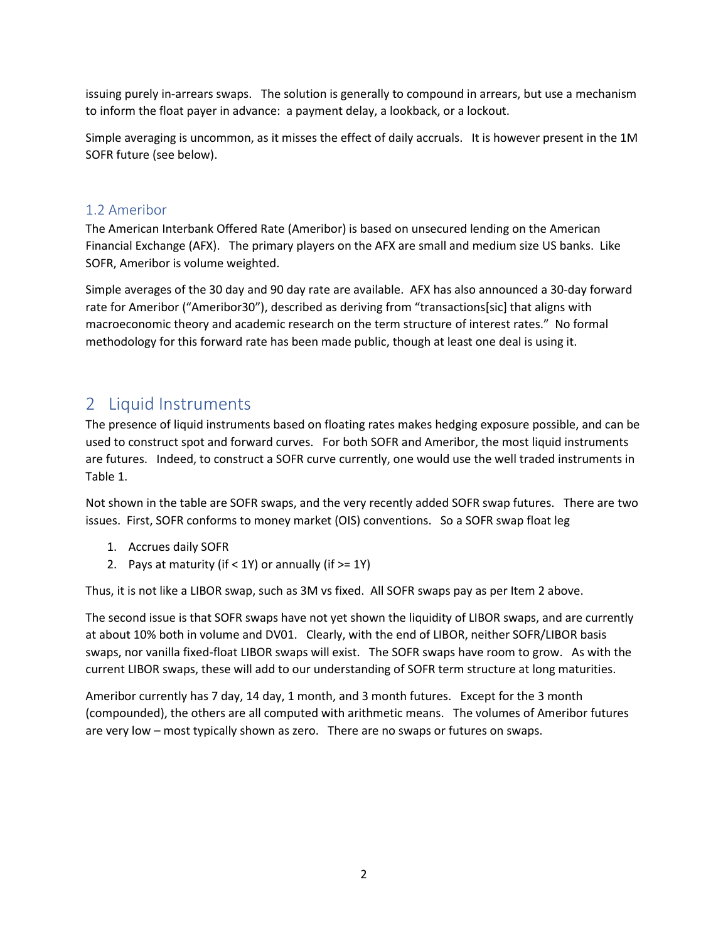issuing purely in-arrears swaps. The solution is generally to compound in arrears, but use a mechanism to inform the float payer in advance: a payment delay, a lookback, or a lockout.

Simple averaging is uncommon, as it misses the effect of daily accruals. It is however present in the 1M SOFR future (see below).

#### 1.2 Ameribor

The American Interbank Offered Rate (Ameribor) is based on unsecured lending on the American Financial Exchange (AFX). The primary players on the AFX are small and medium size US banks. Like SOFR, Ameribor is volume weighted.

Simple averages of the 30 day and 90 day rate are available. AFX has also announced a 30-day forward rate for Ameribor ("Ameribor30"), described as deriving from "transactions[sic] that aligns with macroeconomic theory and academic research on the term structure of interest rates." No formal methodology for this forward rate has been made public, though at least one deal is using it.

### 2 Liquid Instruments

The presence of liquid instruments based on floating rates makes hedging exposure possible, and can be used to construct spot and forward curves. For both SOFR and Ameribor, the most liquid instruments are futures. Indeed, to construct a SOFR curve currently, one would use the well traded instruments in Table 1.

Not shown in the table are SOFR swaps, and the very recently added SOFR swap futures. There are two issues. First, SOFR conforms to money market (OIS) conventions. So a SOFR swap float leg

- 1. Accrues daily SOFR
- 2. Pays at maturity (if  $<$  1Y) or annually (if  $>=$  1Y)

Thus, it is not like a LIBOR swap, such as 3M vs fixed. All SOFR swaps pay as per Item 2 above.

The second issue is that SOFR swaps have not yet shown the liquidity of LIBOR swaps, and are currently at about 10% both in volume and DV01. Clearly, with the end of LIBOR, neither SOFR/LIBOR basis swaps, nor vanilla fixed-float LIBOR swaps will exist. The SOFR swaps have room to grow. As with the current LIBOR swaps, these will add to our understanding of SOFR term structure at long maturities.

Ameribor currently has 7 day, 14 day, 1 month, and 3 month futures. Except for the 3 month (compounded), the others are all computed with arithmetic means. The volumes of Ameribor futures are very low – most typically shown as zero. There are no swaps or futures on swaps.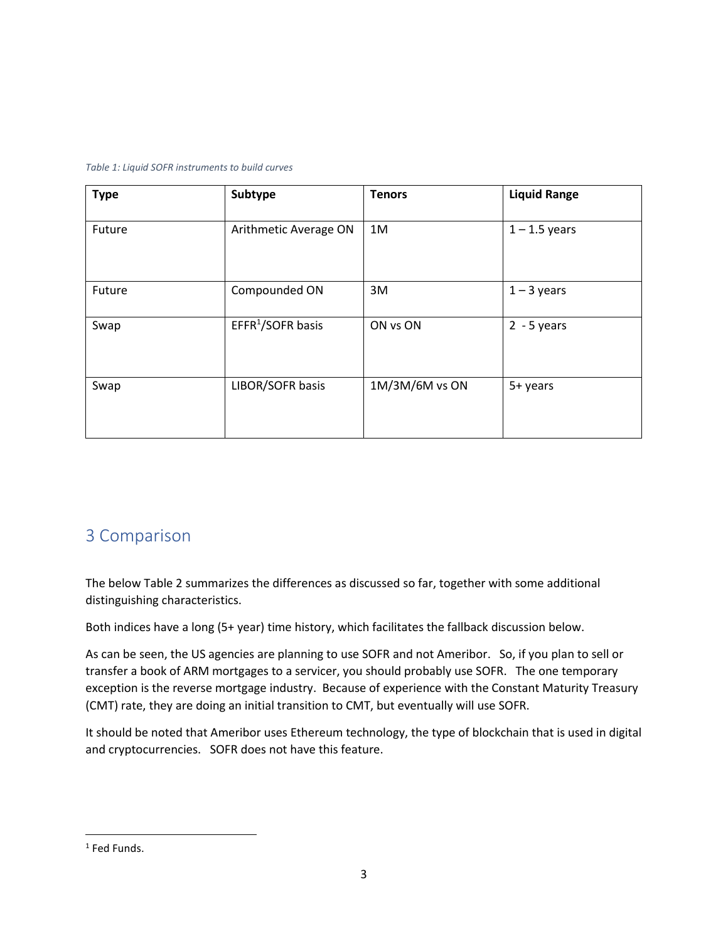#### *Table 1: Liquid SOFR instruments to build curves*

| <b>Type</b> | Subtype                       | <b>Tenors</b>  | <b>Liquid Range</b> |
|-------------|-------------------------------|----------------|---------------------|
| Future      | Arithmetic Average ON         | 1M             | $1 - 1.5$ years     |
| Future      | Compounded ON                 | 3M             | $1 - 3$ years       |
| Swap        | EFFR <sup>1</sup> /SOFR basis | ON vs ON       | $2 - 5$ years       |
| Swap        | LIBOR/SOFR basis              | 1M/3M/6M vs ON | 5+ years            |

## 3 Comparison

The below Table 2 summarizes the differences as discussed so far, together with some additional distinguishing characteristics.

Both indices have a long (5+ year) time history, which facilitates the fallback discussion below.

As can be seen, the US agencies are planning to use SOFR and not Ameribor. So, if you plan to sell or transfer a book of ARM mortgages to a servicer, you should probably use SOFR. The one temporary exception is the reverse mortgage industry. Because of experience with the Constant Maturity Treasury (CMT) rate, they are doing an initial transition to CMT, but eventually will use SOFR.

It should be noted that Ameribor uses Ethereum technology, the type of blockchain that is used in digital and cryptocurrencies. SOFR does not have this feature.

<sup>1</sup> Fed Funds.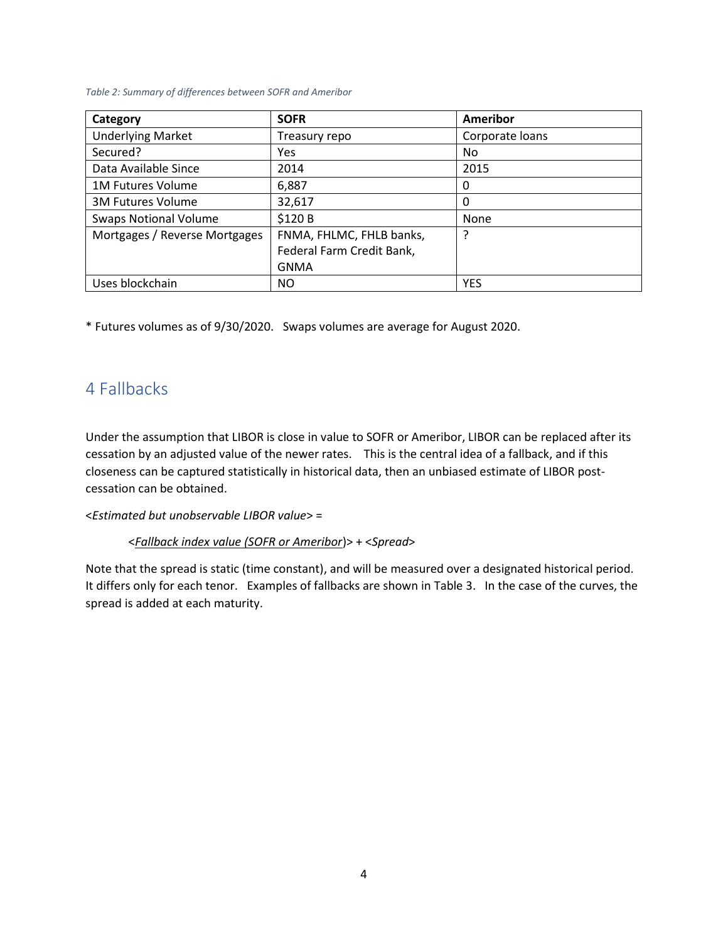#### *Table 2: Summary of differences between SOFR and Ameribor*

| Category                      | <b>SOFR</b>               | Ameribor        |
|-------------------------------|---------------------------|-----------------|
| <b>Underlying Market</b>      | Treasury repo             | Corporate loans |
| Secured?                      | Yes                       | No.             |
| Data Available Since          | 2014                      | 2015            |
| <b>1M Futures Volume</b>      | 6,887                     | 0               |
| <b>3M Futures Volume</b>      | 32,617                    | 0               |
| <b>Swaps Notional Volume</b>  | \$120 B                   | None            |
| Mortgages / Reverse Mortgages | FNMA, FHLMC, FHLB banks,  |                 |
|                               | Federal Farm Credit Bank, |                 |
|                               | <b>GNMA</b>               |                 |
| Uses blockchain               | NO                        | <b>YES</b>      |

\* Futures volumes as of 9/30/2020. Swaps volumes are average for August 2020.

# 4 Fallbacks

Under the assumption that LIBOR is close in value to SOFR or Ameribor, LIBOR can be replaced after its cessation by an adjusted value of the newer rates. This is the central idea of a fallback, and if this closeness can be captured statistically in historical data, then an unbiased estimate of LIBOR postcessation can be obtained.

<*Estimated but unobservable LIBOR value*> =

<*Fallback index value (SOFR or Ameribor*)> + <*Spread*>

Note that the spread is static (time constant), and will be measured over a designated historical period. It differs only for each tenor. Examples of fallbacks are shown in Table 3. In the case of the curves, the spread is added at each maturity.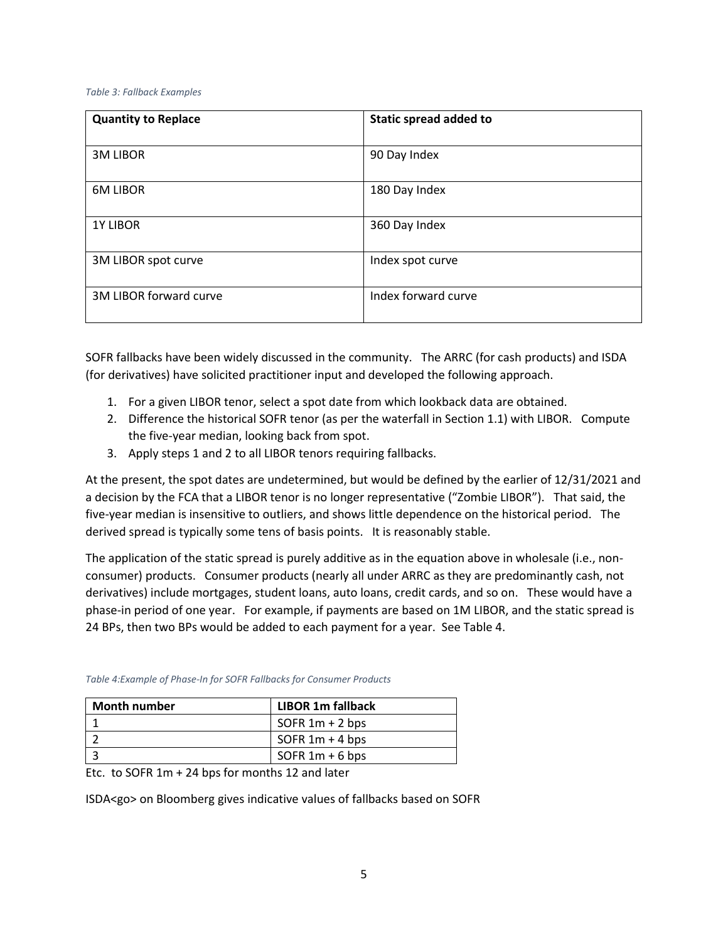#### *Table 3: Fallback Examples*

| <b>Quantity to Replace</b> | Static spread added to |
|----------------------------|------------------------|
| <b>3M LIBOR</b>            | 90 Day Index           |
| <b>6M LIBOR</b>            | 180 Day Index          |
| <b>1Y LIBOR</b>            | 360 Day Index          |
| 3M LIBOR spot curve        | Index spot curve       |
| 3M LIBOR forward curve     | Index forward curve    |

SOFR fallbacks have been widely discussed in the community. The ARRC (for cash products) and ISDA (for derivatives) have solicited practitioner input and developed the following approach.

- 1. For a given LIBOR tenor, select a spot date from which lookback data are obtained.
- 2. Difference the historical SOFR tenor (as per the waterfall in Section 1.1) with LIBOR. Compute the five-year median, looking back from spot.
- 3. Apply steps 1 and 2 to all LIBOR tenors requiring fallbacks.

At the present, the spot dates are undetermined, but would be defined by the earlier of 12/31/2021 and a decision by the FCA that a LIBOR tenor is no longer representative ("Zombie LIBOR"). That said, the five-year median is insensitive to outliers, and shows little dependence on the historical period. The derived spread is typically some tens of basis points. It is reasonably stable.

The application of the static spread is purely additive as in the equation above in wholesale (i.e., nonconsumer) products. Consumer products (nearly all under ARRC as they are predominantly cash, not derivatives) include mortgages, student loans, auto loans, credit cards, and so on. These would have a phase-in period of one year. For example, if payments are based on 1M LIBOR, and the static spread is 24 BPs, then two BPs would be added to each payment for a year. See Table 4.

| Month number | <b>LIBOR 1m fallback</b> |
|--------------|--------------------------|
|              | SOFR $1m + 2$ bps        |
|              | SOFR $1m + 4$ bps        |
|              | SOFR $1m + 6$ bps        |

*Table 4:Example of Phase-In for SOFR Fallbacks for Consumer Products*

Etc. to SOFR 1m + 24 bps for months 12 and later

ISDA<go> on Bloomberg gives indicative values of fallbacks based on SOFR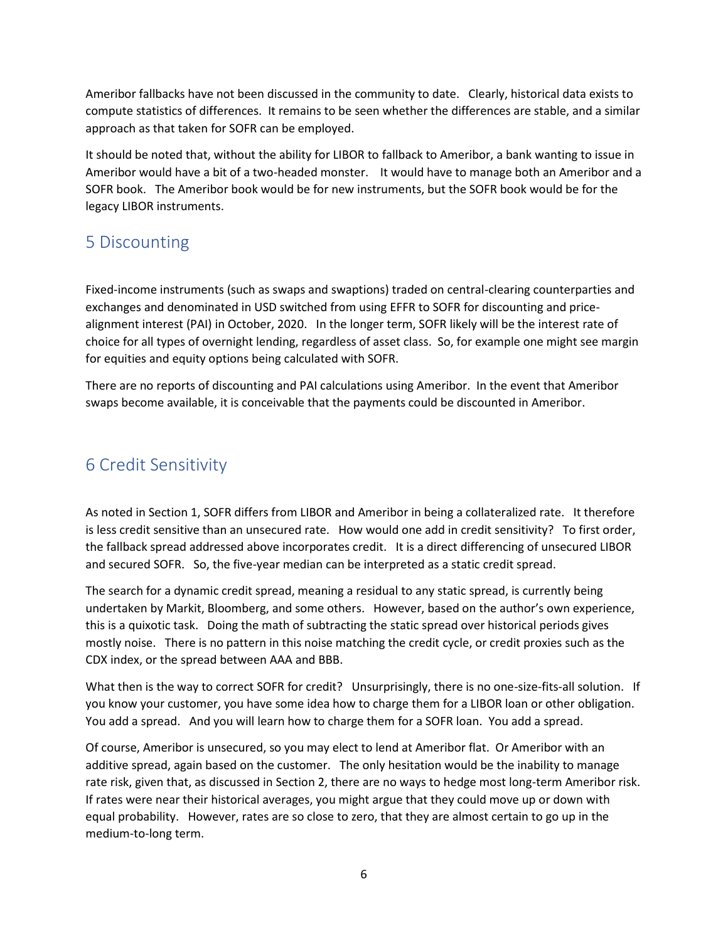Ameribor fallbacks have not been discussed in the community to date. Clearly, historical data exists to compute statistics of differences. It remains to be seen whether the differences are stable, and a similar approach as that taken for SOFR can be employed.

It should be noted that, without the ability for LIBOR to fallback to Ameribor, a bank wanting to issue in Ameribor would have a bit of a two-headed monster. It would have to manage both an Ameribor and a SOFR book. The Ameribor book would be for new instruments, but the SOFR book would be for the legacy LIBOR instruments.

## 5 Discounting

Fixed-income instruments (such as swaps and swaptions) traded on central-clearing counterparties and exchanges and denominated in USD switched from using EFFR to SOFR for discounting and pricealignment interest (PAI) in October, 2020. In the longer term, SOFR likely will be the interest rate of choice for all types of overnight lending, regardless of asset class. So, for example one might see margin for equities and equity options being calculated with SOFR.

There are no reports of discounting and PAI calculations using Ameribor. In the event that Ameribor swaps become available, it is conceivable that the payments could be discounted in Ameribor.

# 6 Credit Sensitivity

As noted in Section 1, SOFR differs from LIBOR and Ameribor in being a collateralized rate. It therefore is less credit sensitive than an unsecured rate. How would one add in credit sensitivity? To first order, the fallback spread addressed above incorporates credit. It is a direct differencing of unsecured LIBOR and secured SOFR. So, the five-year median can be interpreted as a static credit spread.

The search for a dynamic credit spread, meaning a residual to any static spread, is currently being undertaken by Markit, Bloomberg, and some others. However, based on the author's own experience, this is a quixotic task. Doing the math of subtracting the static spread over historical periods gives mostly noise. There is no pattern in this noise matching the credit cycle, or credit proxies such as the CDX index, or the spread between AAA and BBB.

What then is the way to correct SOFR for credit? Unsurprisingly, there is no one-size-fits-all solution. If you know your customer, you have some idea how to charge them for a LIBOR loan or other obligation. You add a spread. And you will learn how to charge them for a SOFR loan. You add a spread.

Of course, Ameribor is unsecured, so you may elect to lend at Ameribor flat. Or Ameribor with an additive spread, again based on the customer. The only hesitation would be the inability to manage rate risk, given that, as discussed in Section 2, there are no ways to hedge most long-term Ameribor risk. If rates were near their historical averages, you might argue that they could move up or down with equal probability. However, rates are so close to zero, that they are almost certain to go up in the medium-to-long term.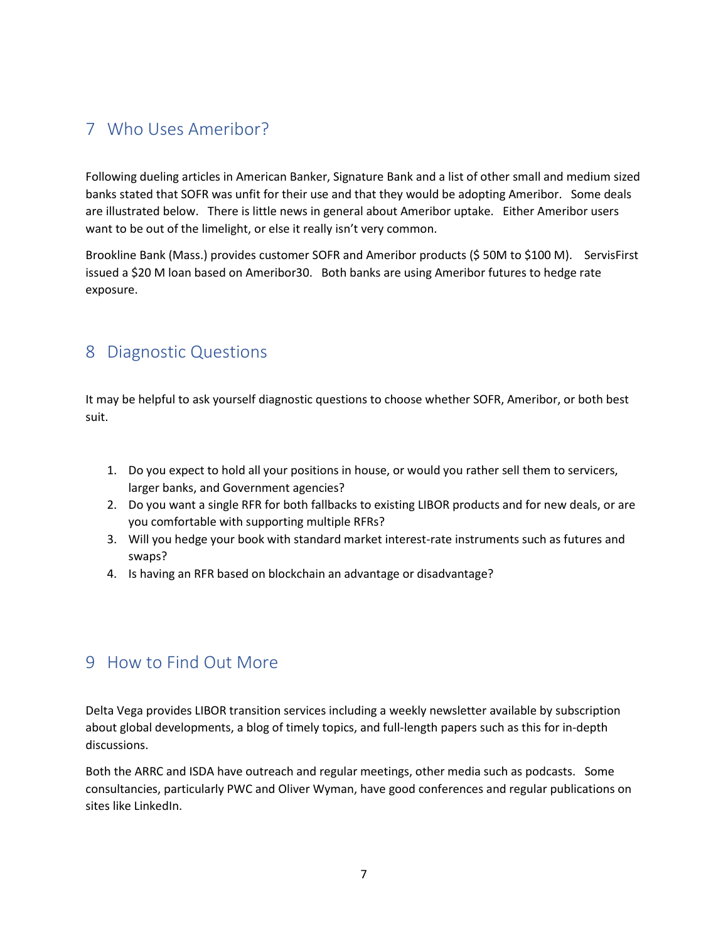# 7 Who Uses Ameribor?

Following dueling articles in American Banker, Signature Bank and a list of other small and medium sized banks stated that SOFR was unfit for their use and that they would be adopting Ameribor. Some deals are illustrated below. There is little news in general about Ameribor uptake. Either Ameribor users want to be out of the limelight, or else it really isn't very common.

Brookline Bank (Mass.) provides customer SOFR and Ameribor products (\$ 50M to \$100 M). ServisFirst issued a \$20 M loan based on Ameribor30. Both banks are using Ameribor futures to hedge rate exposure.

### 8 Diagnostic Questions

It may be helpful to ask yourself diagnostic questions to choose whether SOFR, Ameribor, or both best suit.

- 1. Do you expect to hold all your positions in house, or would you rather sell them to servicers, larger banks, and Government agencies?
- 2. Do you want a single RFR for both fallbacks to existing LIBOR products and for new deals, or are you comfortable with supporting multiple RFRs?
- 3. Will you hedge your book with standard market interest-rate instruments such as futures and swaps?
- 4. Is having an RFR based on blockchain an advantage or disadvantage?

# 9 How to Find Out More

Delta Vega provides LIBOR transition services including a weekly newsletter available by subscription about global developments, a blog of timely topics, and full-length papers such as this for in-depth discussions.

Both the ARRC and ISDA have outreach and regular meetings, other media such as podcasts. Some consultancies, particularly PWC and Oliver Wyman, have good conferences and regular publications on sites like LinkedIn.